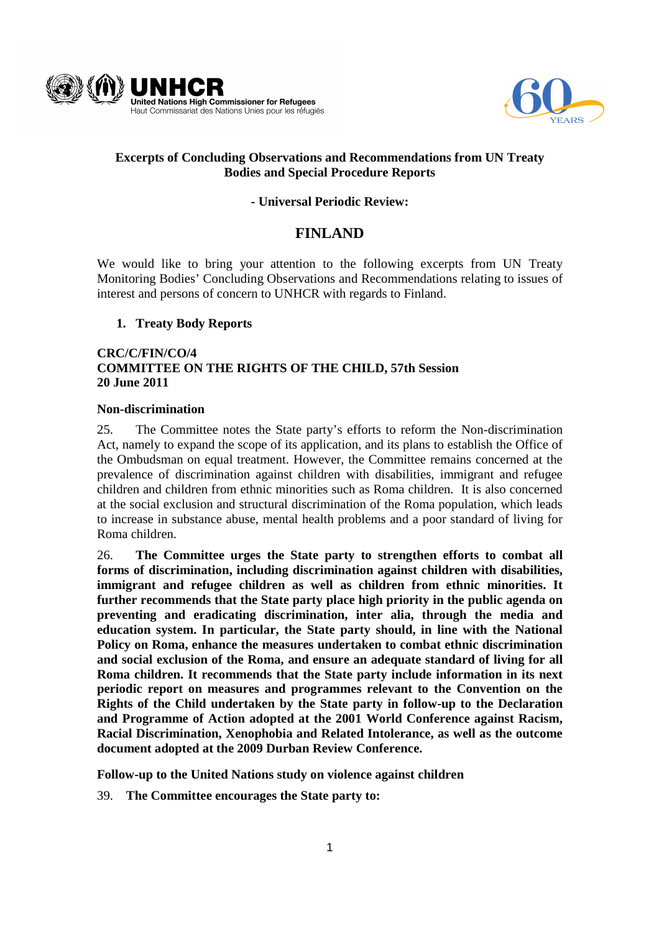



## **Excerpts of Concluding Observations and Recommendations from UN Treaty Bodies and Special Procedure Reports**

## **- Universal Periodic Review:**

# **FINLAND**

We would like to bring your attention to the following excerpts from UN Treaty Monitoring Bodies' Concluding Observations and Recommendations relating to issues of interest and persons of concern to UNHCR with regards to Finland.

## **1. Treaty Body Reports**

## **CRC/C/FIN/CO/4 COMMITTEE ON THE RIGHTS OF THE CHILD, 57th Session 20 June 2011**

### **Non-discrimination**

25. The Committee notes the State party's efforts to reform the Non-discrimination Act, namely to expand the scope of its application, and its plans to establish the Office of the Ombudsman on equal treatment. However, the Committee remains concerned at the prevalence of discrimination against children with disabilities, immigrant and refugee children and children from ethnic minorities such as Roma children. It is also concerned at the social exclusion and structural discrimination of the Roma population, which leads to increase in substance abuse, mental health problems and a poor standard of living for Roma children.

26. **The Committee urges the State party to strengthen efforts to combat all forms of discrimination, including discrimination against children with disabilities, immigrant and refugee children as well as children from ethnic minorities. It further recommends that the State party place high priority in the public agenda on preventing and eradicating discrimination, inter alia, through the media and education system. In particular, the State party should, in line with the National Policy on Roma, enhance the measures undertaken to combat ethnic discrimination and social exclusion of the Roma, and ensure an adequate standard of living for all Roma children. It recommends that the State party include information in its next periodic report on measures and programmes relevant to the Convention on the Rights of the Child undertaken by the State party in follow-up to the Declaration and Programme of Action adopted at the 2001 World Conference against Racism, Racial Discrimination, Xenophobia and Related Intolerance, as well as the outcome document adopted at the 2009 Durban Review Conference.**

**Follow-up to the United Nations study on violence against children** 

39. **The Committee encourages the State party to:**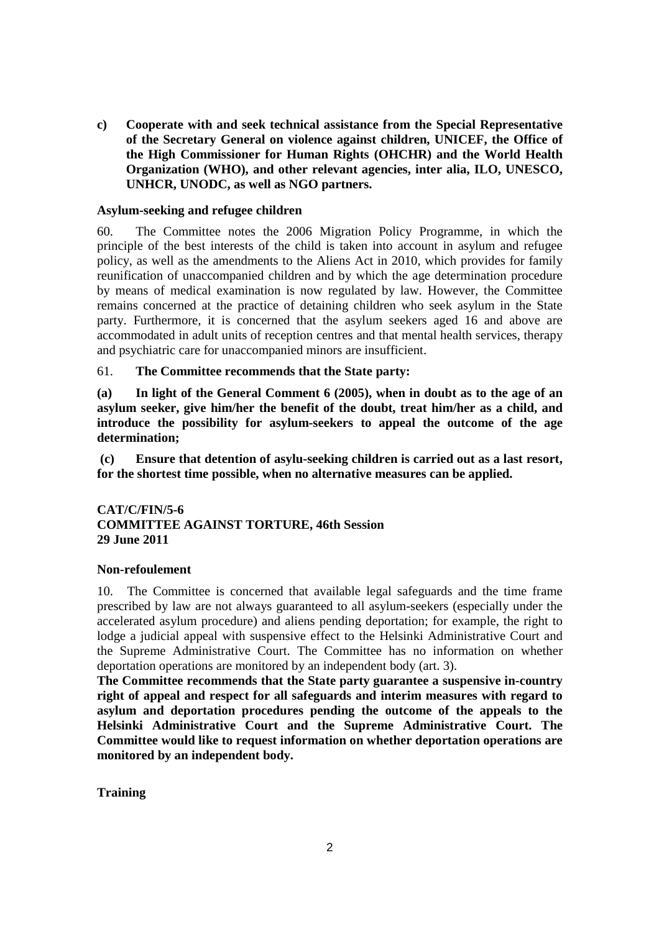**c) Cooperate with and seek technical assistance from the Special Representative of the Secretary General on violence against children, UNICEF, the Office of the High Commissioner for Human Rights (OHCHR) and the World Health Organization (WHO), and other relevant agencies, inter alia, ILO, UNESCO, UNHCR, UNODC, as well as NGO partners.** 

### **Asylum-seeking and refugee children**

60. The Committee notes the 2006 Migration Policy Programme, in which the principle of the best interests of the child is taken into account in asylum and refugee policy, as well as the amendments to the Aliens Act in 2010, which provides for family reunification of unaccompanied children and by which the age determination procedure by means of medical examination is now regulated by law. However, the Committee remains concerned at the practice of detaining children who seek asylum in the State party. Furthermore, it is concerned that the asylum seekers aged 16 and above are accommodated in adult units of reception centres and that mental health services, therapy and psychiatric care for unaccompanied minors are insufficient.

### 61. **The Committee recommends that the State party:**

**(a) In light of the General Comment 6 (2005), when in doubt as to the age of an asylum seeker, give him/her the benefit of the doubt, treat him/her as a child, and introduce the possibility for asylum-seekers to appeal the outcome of the age determination;** 

 **(c) Ensure that detention of asylu-seeking children is carried out as a last resort, for the shortest time possible, when no alternative measures can be applied.** 

### **CAT/C/FIN/5-6 COMMITTEE AGAINST TORTURE, 46th Session 29 June 2011**

#### **Non-refoulement**

10. The Committee is concerned that available legal safeguards and the time frame prescribed by law are not always guaranteed to all asylum-seekers (especially under the accelerated asylum procedure) and aliens pending deportation; for example, the right to lodge a judicial appeal with suspensive effect to the Helsinki Administrative Court and the Supreme Administrative Court. The Committee has no information on whether deportation operations are monitored by an independent body (art. 3).

**The Committee recommends that the State party guarantee a suspensive in-country right of appeal and respect for all safeguards and interim measures with regard to asylum and deportation procedures pending the outcome of the appeals to the Helsinki Administrative Court and the Supreme Administrative Court. The Committee would like to request information on whether deportation operations are monitored by an independent body.** 

**Training**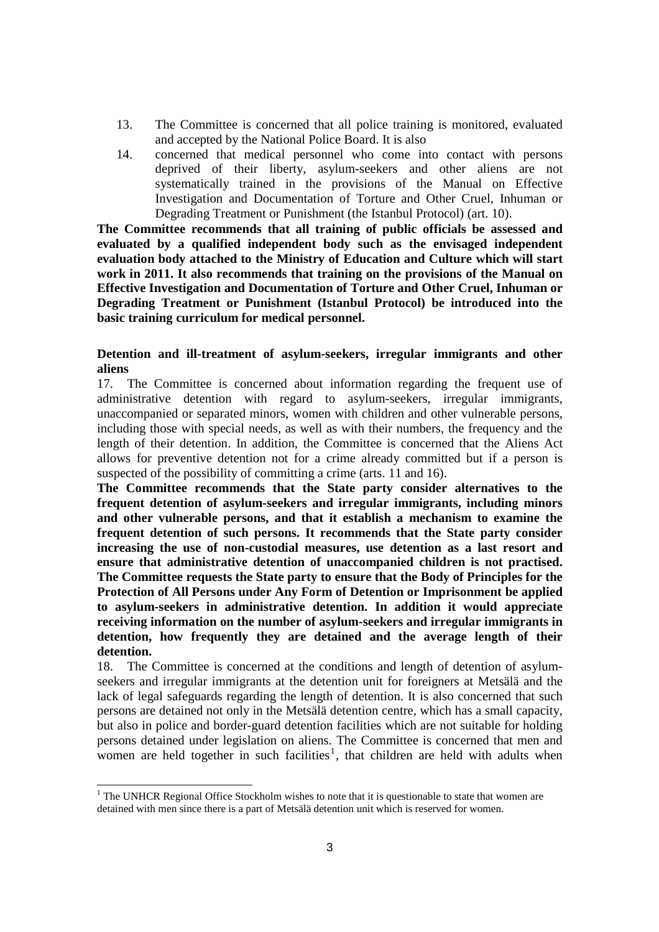- 13. The Committee is concerned that all police training is monitored, evaluated and accepted by the National Police Board. It is also
- 14. concerned that medical personnel who come into contact with persons deprived of their liberty, asylum-seekers and other aliens are not systematically trained in the provisions of the Manual on Effective Investigation and Documentation of Torture and Other Cruel, Inhuman or Degrading Treatment or Punishment (the Istanbul Protocol) (art. 10).

**The Committee recommends that all training of public officials be assessed and evaluated by a qualified independent body such as the envisaged independent evaluation body attached to the Ministry of Education and Culture which will start work in 2011. It also recommends that training on the provisions of the Manual on Effective Investigation and Documentation of Torture and Other Cruel, Inhuman or Degrading Treatment or Punishment (Istanbul Protocol) be introduced into the basic training curriculum for medical personnel.**

### **Detention and ill-treatment of asylum-seekers, irregular immigrants and other aliens**

17. The Committee is concerned about information regarding the frequent use of administrative detention with regard to asylum-seekers, irregular immigrants, unaccompanied or separated minors, women with children and other vulnerable persons, including those with special needs, as well as with their numbers, the frequency and the length of their detention. In addition, the Committee is concerned that the Aliens Act allows for preventive detention not for a crime already committed but if a person is suspected of the possibility of committing a crime (arts. 11 and 16).

**The Committee recommends that the State party consider alternatives to the frequent detention of asylum-seekers and irregular immigrants, including minors and other vulnerable persons, and that it establish a mechanism to examine the frequent detention of such persons. It recommends that the State party consider increasing the use of non-custodial measures, use detention as a last resort and ensure that administrative detention of unaccompanied children is not practised. The Committee requests the State party to ensure that the Body of Principles for the Protection of All Persons under Any Form of Detention or Imprisonment be applied to asylum-seekers in administrative detention. In addition it would appreciate receiving information on the number of asylum-seekers and irregular immigrants in detention, how frequently they are detained and the average length of their detention.** 

18. The Committee is concerned at the conditions and length of detention of asylumseekers and irregular immigrants at the detention unit for foreigners at Metsälä and the lack of legal safeguards regarding the length of detention. It is also concerned that such persons are detained not only in the Metsälä detention centre, which has a small capacity, but also in police and border-guard detention facilities which are not suitable for holding persons detained under legislation on aliens. The Committee is concerned that men and women are held together in such facilities<sup>1</sup>, that children are held with adults when

1

<sup>&</sup>lt;sup>1</sup> The UNHCR Regional Office Stockholm wishes to note that it is questionable to state that women are detained with men since there is a part of Metsälä detention unit which is reserved for women.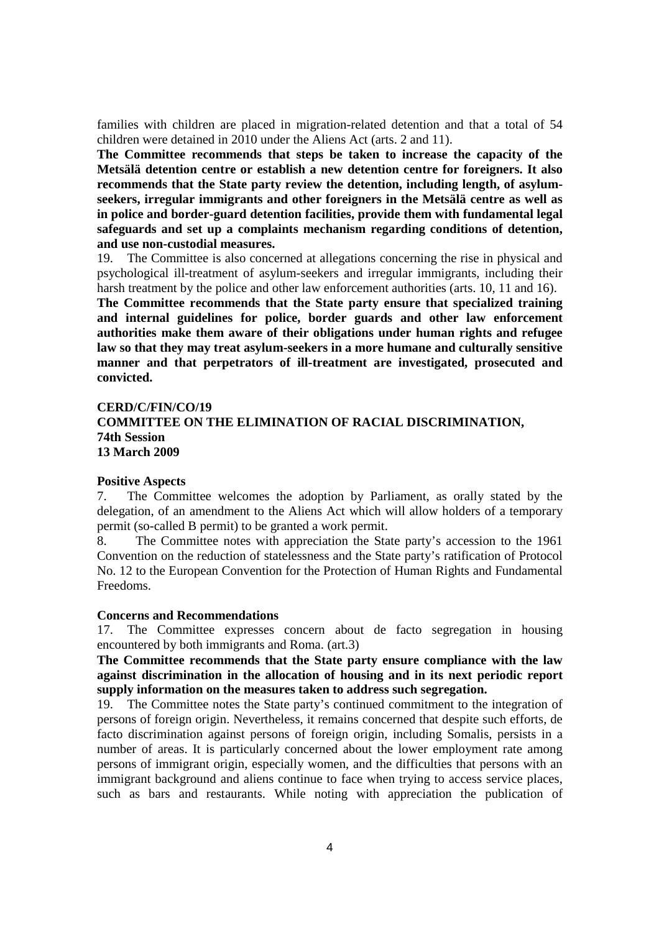families with children are placed in migration-related detention and that a total of 54 children were detained in 2010 under the Aliens Act (arts. 2 and 11).

**The Committee recommends that steps be taken to increase the capacity of the Metsälä detention centre or establish a new detention centre for foreigners. It also recommends that the State party review the detention, including length, of asylumseekers, irregular immigrants and other foreigners in the Metsälä centre as well as in police and border-guard detention facilities, provide them with fundamental legal safeguards and set up a complaints mechanism regarding conditions of detention, and use non-custodial measures.** 

19. The Committee is also concerned at allegations concerning the rise in physical and psychological ill-treatment of asylum-seekers and irregular immigrants, including their harsh treatment by the police and other law enforcement authorities (arts. 10, 11 and 16).

**The Committee recommends that the State party ensure that specialized training and internal guidelines for police, border guards and other law enforcement authorities make them aware of their obligations under human rights and refugee law so that they may treat asylum-seekers in a more humane and culturally sensitive manner and that perpetrators of ill-treatment are investigated, prosecuted and convicted.** 

#### **CERD/C/FIN/CO/19**

### **COMMITTEE ON THE ELIMINATION OF RACIAL DISCRIMINATION, 74th Session 13 March 2009**

#### **Positive Aspects**

7. The Committee welcomes the adoption by Parliament, as orally stated by the delegation, of an amendment to the Aliens Act which will allow holders of a temporary permit (so-called B permit) to be granted a work permit.

8. The Committee notes with appreciation the State party's accession to the 1961 Convention on the reduction of statelessness and the State party's ratification of Protocol No. 12 to the European Convention for the Protection of Human Rights and Fundamental Freedoms.

#### **Concerns and Recommendations**

17. The Committee expresses concern about de facto segregation in housing encountered by both immigrants and Roma. (art.3)

**The Committee recommends that the State party ensure compliance with the law against discrimination in the allocation of housing and in its next periodic report supply information on the measures taken to address such segregation.**

19. The Committee notes the State party's continued commitment to the integration of persons of foreign origin. Nevertheless, it remains concerned that despite such efforts, de facto discrimination against persons of foreign origin, including Somalis, persists in a number of areas. It is particularly concerned about the lower employment rate among persons of immigrant origin, especially women, and the difficulties that persons with an immigrant background and aliens continue to face when trying to access service places, such as bars and restaurants. While noting with appreciation the publication of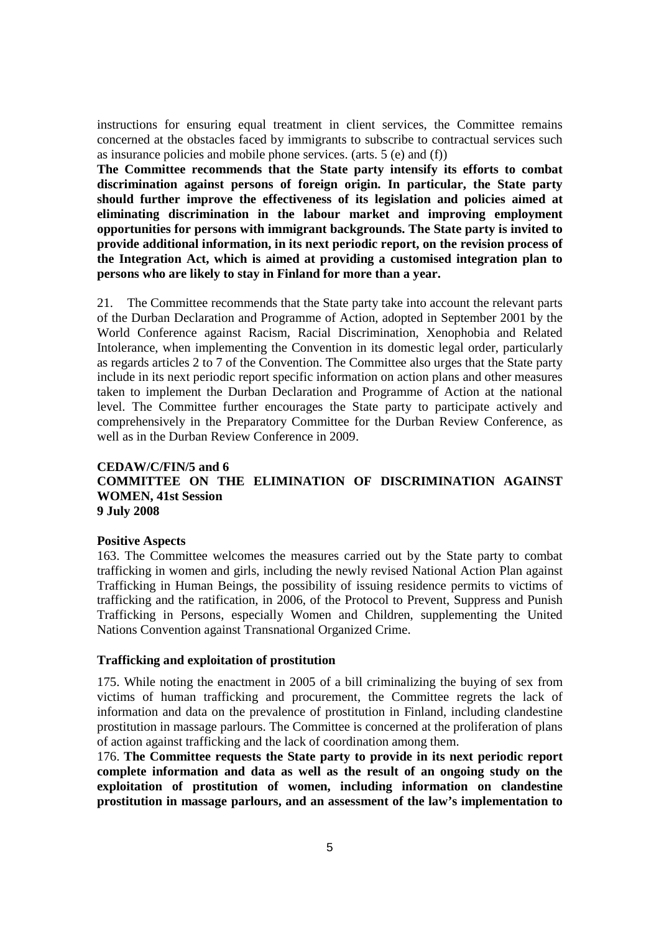instructions for ensuring equal treatment in client services, the Committee remains concerned at the obstacles faced by immigrants to subscribe to contractual services such as insurance policies and mobile phone services. (arts. 5 (e) and (f))

**The Committee recommends that the State party intensify its efforts to combat discrimination against persons of foreign origin. In particular, the State party should further improve the effectiveness of its legislation and policies aimed at eliminating discrimination in the labour market and improving employment opportunities for persons with immigrant backgrounds. The State party is invited to provide additional information, in its next periodic report, on the revision process of the Integration Act, which is aimed at providing a customised integration plan to persons who are likely to stay in Finland for more than a year.** 

21. The Committee recommends that the State party take into account the relevant parts of the Durban Declaration and Programme of Action, adopted in September 2001 by the World Conference against Racism, Racial Discrimination, Xenophobia and Related Intolerance, when implementing the Convention in its domestic legal order, particularly as regards articles 2 to 7 of the Convention. The Committee also urges that the State party include in its next periodic report specific information on action plans and other measures taken to implement the Durban Declaration and Programme of Action at the national level. The Committee further encourages the State party to participate actively and comprehensively in the Preparatory Committee for the Durban Review Conference, as well as in the Durban Review Conference in 2009.

### **CEDAW/C/FIN/5 and 6 COMMITTEE ON THE ELIMINATION OF DISCRIMINATION AGAINST WOMEN, 41st Session 9 July 2008**

#### **Positive Aspects**

163. The Committee welcomes the measures carried out by the State party to combat trafficking in women and girls, including the newly revised National Action Plan against Trafficking in Human Beings, the possibility of issuing residence permits to victims of trafficking and the ratification, in 2006, of the Protocol to Prevent, Suppress and Punish Trafficking in Persons, especially Women and Children, supplementing the United Nations Convention against Transnational Organized Crime.

#### **Trafficking and exploitation of prostitution**

175. While noting the enactment in 2005 of a bill criminalizing the buying of sex from victims of human trafficking and procurement, the Committee regrets the lack of information and data on the prevalence of prostitution in Finland, including clandestine prostitution in massage parlours. The Committee is concerned at the proliferation of plans of action against trafficking and the lack of coordination among them.

176. **The Committee requests the State party to provide in its next periodic report complete information and data as well as the result of an ongoing study on the exploitation of prostitution of women, including information on clandestine prostitution in massage parlours, and an assessment of the law's implementation to**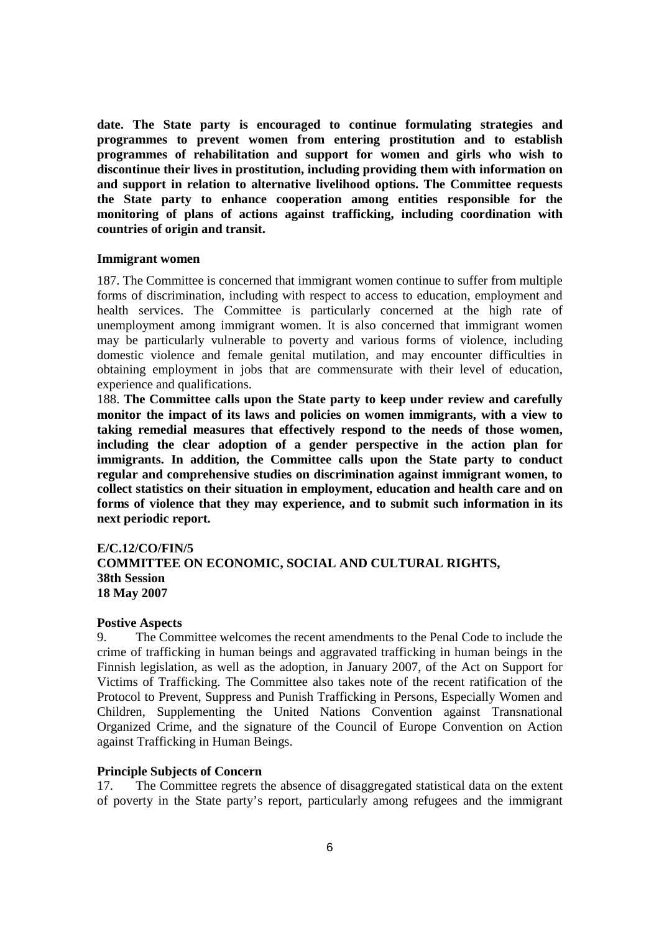**date. The State party is encouraged to continue formulating strategies and programmes to prevent women from entering prostitution and to establish programmes of rehabilitation and support for women and girls who wish to discontinue their lives in prostitution, including providing them with information on and support in relation to alternative livelihood options. The Committee requests the State party to enhance cooperation among entities responsible for the monitoring of plans of actions against trafficking, including coordination with countries of origin and transit.** 

#### **Immigrant women**

187. The Committee is concerned that immigrant women continue to suffer from multiple forms of discrimination, including with respect to access to education, employment and health services. The Committee is particularly concerned at the high rate of unemployment among immigrant women. It is also concerned that immigrant women may be particularly vulnerable to poverty and various forms of violence, including domestic violence and female genital mutilation, and may encounter difficulties in obtaining employment in jobs that are commensurate with their level of education, experience and qualifications.

188. **The Committee calls upon the State party to keep under review and carefully monitor the impact of its laws and policies on women immigrants, with a view to taking remedial measures that effectively respond to the needs of those women, including the clear adoption of a gender perspective in the action plan for immigrants. In addition, the Committee calls upon the State party to conduct regular and comprehensive studies on discrimination against immigrant women, to collect statistics on their situation in employment, education and health care and on forms of violence that they may experience, and to submit such information in its next periodic report.** 

### **E/C.12/CO/FIN/5 COMMITTEE ON ECONOMIC, SOCIAL AND CULTURAL RIGHTS, 38th Session 18 May 2007**

#### **Postive Aspects**

9. The Committee welcomes the recent amendments to the Penal Code to include the crime of trafficking in human beings and aggravated trafficking in human beings in the Finnish legislation, as well as the adoption, in January 2007, of the Act on Support for Victims of Trafficking. The Committee also takes note of the recent ratification of the Protocol to Prevent, Suppress and Punish Trafficking in Persons, Especially Women and Children, Supplementing the United Nations Convention against Transnational Organized Crime, and the signature of the Council of Europe Convention on Action against Trafficking in Human Beings.

#### **Principle Subjects of Concern**

17. The Committee regrets the absence of disaggregated statistical data on the extent of poverty in the State party's report, particularly among refugees and the immigrant